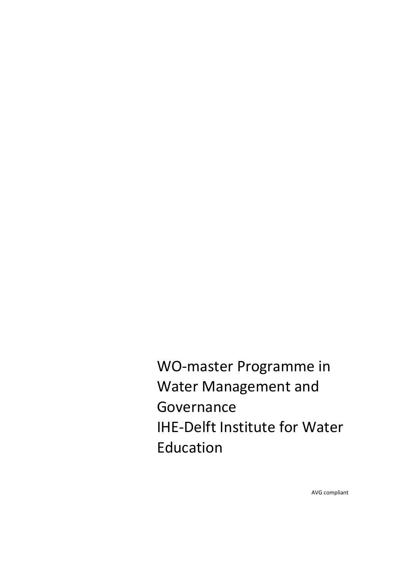WO-master Programme in Water Management and Governance IHE-Delft Institute for Water Education

AVG compliant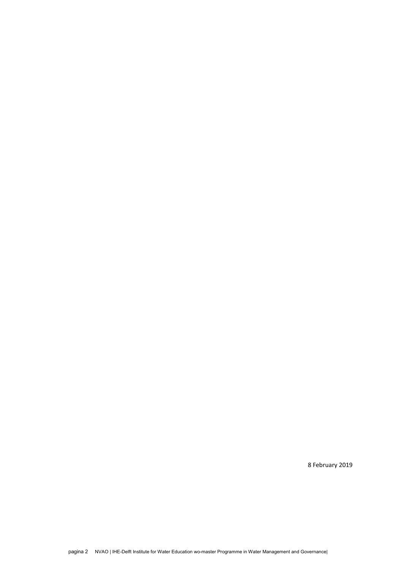8 February 2019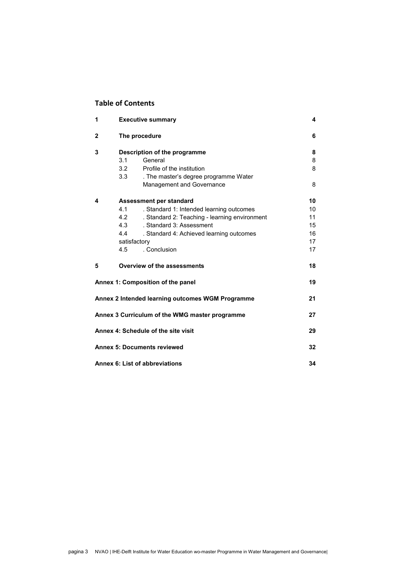# **Table of Contents**

| 1            | <b>Executive summary</b>                             | 4  |
|--------------|------------------------------------------------------|----|
| $\mathbf{2}$ | The procedure                                        | 6  |
| 3            | Description of the programme                         | 8  |
|              | General<br>3.1                                       | 8  |
|              | Profile of the institution<br>3.2                    | 8  |
|              | 3.3<br>. The master's degree programme Water         |    |
|              | Management and Governance                            | 8  |
| 4            | Assessment per standard                              | 10 |
|              | 4.1<br>. Standard 1: Intended learning outcomes      | 10 |
|              | 4.2<br>. Standard 2: Teaching - learning environment | 11 |
|              | . Standard 3: Assessment<br>4.3                      | 15 |
|              | 4.4<br>. Standard 4: Achieved learning outcomes      | 16 |
|              | satisfactory                                         | 17 |
|              | . Conclusion<br>4.5                                  | 17 |
| 5            | Overview of the assessments                          | 18 |
|              | Annex 1: Composition of the panel                    | 19 |
|              | Annex 2 Intended learning outcomes WGM Programme     | 21 |
|              | Annex 3 Curriculum of the WMG master programme       | 27 |
|              | Annex 4: Schedule of the site visit                  | 29 |
|              | <b>Annex 5: Documents reviewed</b>                   | 32 |
|              | Annex 6: List of abbreviations                       | 34 |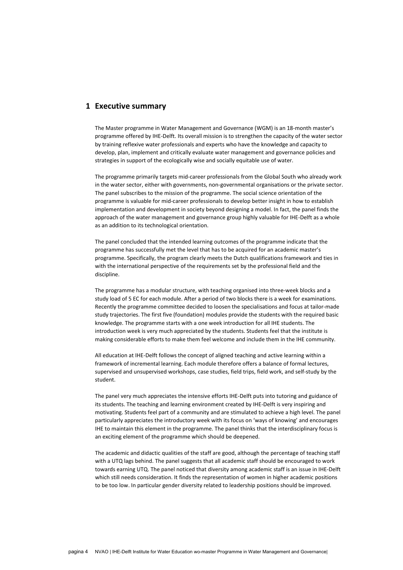## <span id="page-3-0"></span>**1 Executive summary**

The Master programme in Water Management and Governance (WGM) is an 18-month master's programme offered by IHE-Delft. Its overall mission is to strengthen the capacity of the water sector by training reflexive water professionals and experts who have the knowledge and capacity to develop, plan, implement and critically evaluate water management and governance policies and strategies in support of the ecologically wise and socially equitable use of water.

The programme primarily targets mid-career professionals from the Global South who already work in the water sector, either with governments, non-governmental organisations or the private sector. The panel subscribes to the mission of the programme. The social science orientation of the programme is valuable for mid-career professionals to develop better insight in how to establish implementation and development in society beyond designing a model. In fact, the panel finds the approach of the water management and governance group highly valuable for IHE-Delft as a whole as an addition to its technological orientation.

The panel concluded that the intended learning outcomes of the programme indicate that the programme has successfully met the level that has to be acquired for an academic master's programme. Specifically, the program clearly meets the Dutch qualifications framework and ties in with the international perspective of the requirements set by the professional field and the discipline.

The programme has a modular structure, with teaching organised into three-week blocks and a study load of 5 EC for each module. After a period of two blocks there is a week for examinations. Recently the programme committee decided to loosen the specialisations and focus at tailor-made study trajectories. The first five (foundation) modules provide the students with the required basic knowledge. The programme starts with a one week introduction for all IHE students. The introduction week is very much appreciated by the students. Students feel that the institute is making considerable efforts to make them feel welcome and include them in the IHE community.

All education at IHE-Delft follows the concept of aligned teaching and active learning within a framework of incremental learning. Each module therefore offers a balance of formal lectures, supervised and unsupervised workshops, case studies, field trips, field work, and self-study by the student.

The panel very much appreciates the intensive efforts IHE-Delft puts into tutoring and guidance of its students. The teaching and learning environment created by IHE-Delft is very inspiring and motivating. Students feel part of a community and are stimulated to achieve a high level. The panel particularly appreciates the introductory week with its focus on 'ways of knowing' and encourages IHE to maintain this element in the programme. The panel thinks that the interdisciplinary focus is an exciting element of the programme which should be deepened.

The academic and didactic qualities of the staff are good, although the percentage of teaching staff with a UTQ lags behind. The panel suggests that all academic staff should be encouraged to work towards earning UTQ. The panel noticed that diversity among academic staff is an issue in IHE-Delft which still needs consideration. It finds the representation of women in higher academic positions to be too low. In particular gender diversity related to leadership positions should be improved.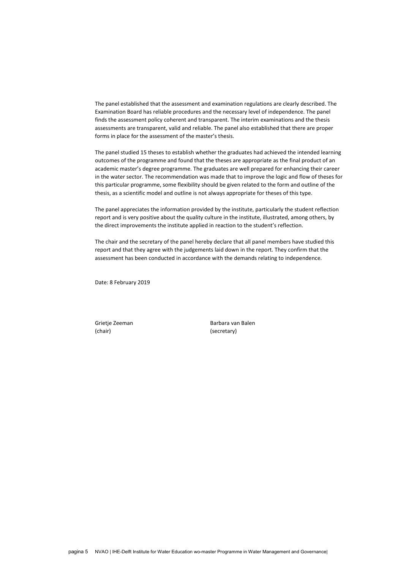The panel established that the assessment and examination regulations are clearly described. The Examination Board has reliable procedures and the necessary level of independence. The panel finds the assessment policy coherent and transparent. The interim examinations and the thesis assessments are transparent, valid and reliable. The panel also established that there are proper forms in place for the assessment of the master's thesis.

The panel studied 15 theses to establish whether the graduates had achieved the intended learning outcomes of the programme and found that the theses are appropriate as the final product of an academic master's degree programme. The graduates are well prepared for enhancing their career in the water sector. The recommendation was made that to improve the logic and flow of theses for this particular programme, some flexibility should be given related to the form and outline of the thesis, as a scientific model and outline is not always appropriate for theses of this type.

The panel appreciates the information provided by the institute, particularly the student reflection report and is very positive about the quality culture in the institute, illustrated, among others, by the direct improvements the institute applied in reaction to the student's reflection.

The chair and the secretary of the panel hereby declare that all panel members have studied this report and that they agree with the judgements laid down in the report. They confirm that the assessment has been conducted in accordance with the demands relating to independence.

Date: 8 February 2019

(chair) (secretary)

Grietie Zeeman Barbara van Balen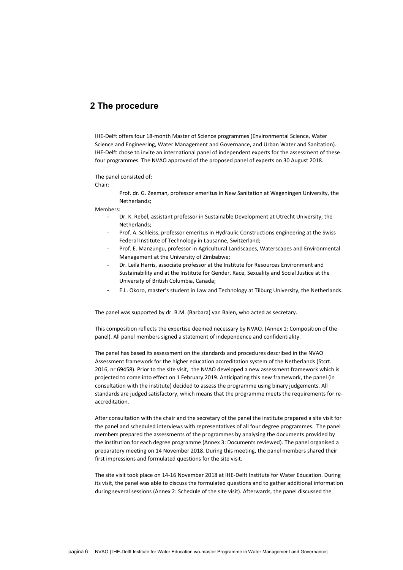# <span id="page-5-0"></span>**2 The procedure**

IHE-Delft offers four 18-month Master of Science programmes (Environmental Science, Water Science and Engineering, Water Management and Governance, and Urban Water and Sanitation). IHE-Delft chose to invite an international panel of independent experts for the assessment of these four programmes. The NVAO approved of the proposed panel of experts on 30 August 2018.

The panel consisted of:

Chair:

Prof. dr. G. Zeeman, professor emeritus in New Sanitation at Wageningen University, the Netherlands;

Members:

- Dr. K. Rebel, assistant professor in Sustainable Development at Utrecht University, the Netherlands;
- Prof. A. Schleiss, professor emeritus in Hydraulic Constructions engineering at the Swiss Federal Institute of Technology in Lausanne, Switzerland;
- Prof. E. Manzungu, professor in Agricultural Landscapes, Waterscapes and Environmental Management at the University of Zimbabwe;
- Dr. Leila Harris, associate professor at the Institute for Resources Environment and Sustainability and at the Institute for Gender, Race, Sexuality and Social Justice at the University of British Columbia, Canada;
- E.L. Okoro, master's student in Law and Technology at Tilburg University, the Netherlands.

The panel was supported by dr. B.M. (Barbara) van Balen, who acted as secretary.

This composition reflects the expertise deemed necessary by NVAO. (Annex 1: Composition of the panel). All panel members signed a statement of independence and confidentiality.

The panel has based its assessment on the standards and procedures described in the NVAO Assessment framework for the higher education accreditation system of the Netherlands (Stcrt. 2016, nr 69458). Prior to the site visit, the NVAO developed a new assessment framework which is projected to come into effect on 1 February 2019. Anticipating this new framework, the panel (in consultation with the institute) decided to assess the programme using binary judgements. All standards are judged satisfactory, which means that the programme meets the requirements for reaccreditation.

After consultation with the chair and the secretary of the panel the institute prepared a site visit for the panel and scheduled interviews with representatives of all four degree programmes. The panel members prepared the assessments of the programmes by analysing the documents provided by the institution for each degree programme (Annex 3: Documents reviewed). The panel organised a preparatory meeting on 14 November 2018. During this meeting, the panel members shared their first impressions and formulated questions for the site visit.

The site visit took place on 14-16 November 2018 at IHE-Delft Institute for Water Education. During its visit, the panel was able to discuss the formulated questions and to gather additional information during several sessions (Annex 2: Schedule of the site visit). Afterwards, the panel discussed the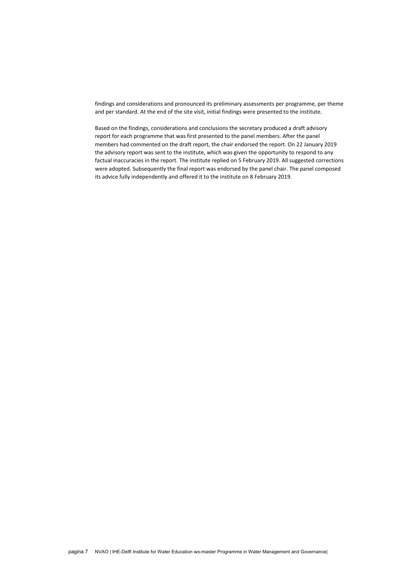findings and considerations and pronounced its preliminary assessments per programme, per theme and per standard. At the end of the site visit, initial findings were presented to the institute.

Based on the findings, considerations and conclusions the secretary produced a draft advisory report for each programme that was first presented to the panel members. After the panel members had commented on the draft report, the chair endorsed the report. On 22 January 2019 the advisory report was sent to the institute, which was given the opportunity to respond to any factual inaccuracies in the report. The institute replied on 5 February 2019. All suggested corrections were adopted. Subsequently the final report was endorsed by the panel chair. The panel composed its advice fully independently and offered it to the institute on 8 February 2019.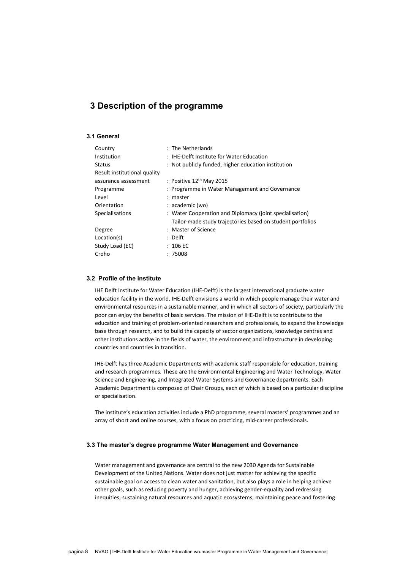# <span id="page-7-0"></span>**3 Description of the programme**

## <span id="page-7-1"></span>**3.1 General**

| Country                      | : The Netherlands                                          |
|------------------------------|------------------------------------------------------------|
| Institution                  | : IHE-Delft Institute for Water Education                  |
| <b>Status</b>                | : Not publicly funded, higher education institution        |
| Result institutional quality |                                                            |
| assurance assessment         | : Positive $12th$ May 2015                                 |
| Programme                    | : Programme in Water Management and Governance             |
| Level                        | : master                                                   |
| Orientation                  | : academic (wo)                                            |
| Specialisations              | : Water Cooperation and Diplomacy (joint specialisation)   |
|                              | Tailor-made study trajectories based on student portfolios |
| Degree                       | : Master of Science                                        |
| Location(s)                  | : Delft                                                    |
| Study Load (EC)              | $: 106 \text{ EC}$                                         |
| Croho                        | :75008                                                     |
|                              |                                                            |

### <span id="page-7-2"></span>**3.2 Profile of the institute**

IHE Delft Institute for Water Education (IHE-Delft) is the largest international graduate water education facility in the world. IHE-Delft envisions a world in which people manage their water and environmental resources in a sustainable manner, and in which all sectors of society, particularly the poor can enjoy the benefits of basic services. The mission of IHE-Delft is to contribute to the education and training of problem-oriented researchers and professionals, to expand the knowledge base through research, and to build the capacity of sector organizations, knowledge centres and other institutions active in the fields of water, the environment and infrastructure in developing countries and countries in transition.

IHE-Delft has three Academic Departments with academic staff responsible for education, training and research programmes. These are the Environmental Engineering and Water Technology, Water Science and Engineering, and Integrated Water Systems and Governance departments. Each Academic Department is composed of Chair Groups, each of which is based on a particular discipline or specialisation.

The institute's education activities include a PhD programme, several masters' programmes and an array of short and online courses, with a focus on practicing, mid-career professionals.

### <span id="page-7-3"></span>**3.3 The master's degree programme Water Management and Governance**

Water management and governance are central to the new 2030 Agenda for Sustainable Development of the United Nations. Water does not just matter for achieving the specific sustainable goal on access to clean water and sanitation, but also plays a role in helping achieve other goals, such as reducing poverty and hunger, achieving gender-equality and redressing inequities; sustaining natural resources and aquatic ecosystems; maintaining peace and fostering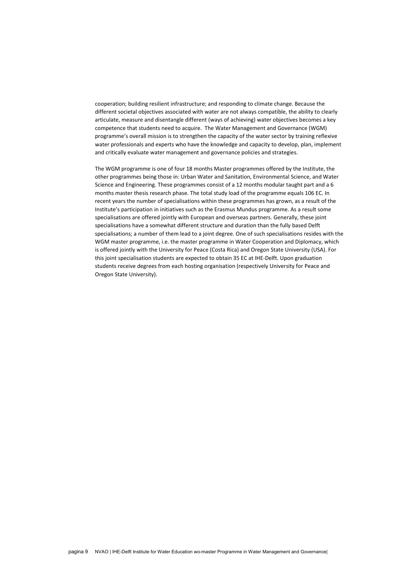cooperation; building resilient infrastructure; and responding to climate change. Because the different societal objectives associated with water are not always compatible, the ability to clearly articulate, measure and disentangle different (ways of achieving) water objectives becomes a key competence that students need to acquire. The Water Management and Governance (WGM) programme's overall mission is to strengthen the capacity of the water sector by training reflexive water professionals and experts who have the knowledge and capacity to develop, plan, implement and critically evaluate water management and governance policies and strategies.

The WGM programme is one of four 18 months Master programmes offered by the Institute, the other programmes being those in: Urban Water and Sanitation, Environmental Science, and Water Science and Engineering. These programmes consist of a 12 months modular taught part and a 6 months master thesis research phase. The total study load of the programme equals 106 EC. In recent years the number of specialisations within these programmes has grown, as a result of the Institute's participation in initiatives such as the Erasmus Mundus programme. As a result some specialisations are offered jointly with European and overseas partners. Generally, these joint specialisations have a somewhat different structure and duration than the fully based Delft specialisations; a number of them lead to a joint degree. One of such specialisations resides with the WGM master programme, i.e. the master programme in Water Cooperation and Diplomacy, which is offered jointly with the University for Peace (Costa Rica) and Oregon State University (USA). For this joint specialisation students are expected to obtain 35 EC at IHE-Delft. Upon graduation students receive degrees from each hosting organisation (respectively University for Peace and Oregon State University).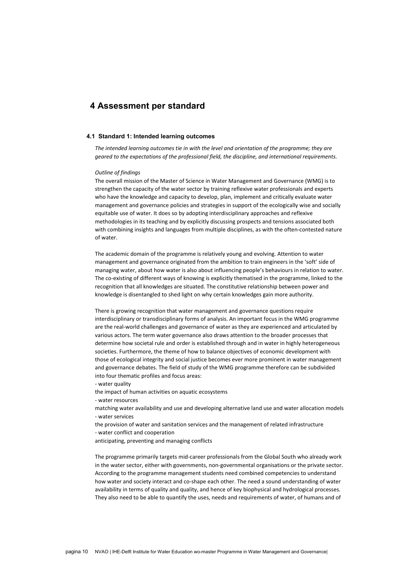# <span id="page-9-0"></span>**4 Assessment per standard**

### <span id="page-9-1"></span>**4.1 Standard 1: Intended learning outcomes**

*The intended learning outcomes tie in with the level and orientation of the programme; they are geared to the expectations of the professional field, the discipline, and international requirements*.

#### *Outline of findings*

The overall mission of the Master of Science in Water Management and Governance (WMG) is to strengthen the capacity of the water sector by training reflexive water professionals and experts who have the knowledge and capacity to develop, plan, implement and critically evaluate water management and governance policies and strategies in support of the ecologically wise and socially equitable use of water. It does so by adopting interdisciplinary approaches and reflexive methodologies in its teaching and by explicitly discussing prospects and tensions associated both with combining insights and languages from multiple disciplines, as with the often-contested nature of water.

The academic domain of the programme is relatively young and evolving. Attention to water management and governance originated from the ambition to train engineers in the 'soft' side of managing water, about how water is also about influencing people's behaviours in relation to water. The co-existing of different ways of knowing is explicitly thematised in the programme, linked to the recognition that all knowledges are situated. The constitutive relationship between power and knowledge is disentangled to shed light on why certain knowledges gain more authority.

There is growing recognition that water management and governance questions require interdisciplinary or transdisciplinary forms of analysis. An important focus in the WMG programme are the real-world challenges and governance of water as they are experienced and articulated by various actors. The term water governance also draws attention to the broader processes that determine how societal rule and order is established through and in water in highly heterogeneous societies. Furthermore, the theme of how to balance objectives of economic development with those of ecological integrity and social justice becomes ever more prominent in water management and governance debates. The field of study of the WMG programme therefore can be subdivided into four thematic profiles and focus areas:

- water quality

the impact of human activities on aquatic ecosystems

- water resources

- matching water availability and use and developing alternative land use and water allocation models - water services
- the provision of water and sanitation services and the management of related infrastructure
- water conflict and cooperation

anticipating, preventing and managing conflicts

The programme primarily targets mid-career professionals from the Global South who already work in the water sector, either with governments, non-governmental organisations or the private sector. According to the programme management students need combined competencies to understand how water and society interact and co-shape each other. The need a sound understanding of water availability in terms of quality and quality, and hence of key biophysical and hydrological processes. They also need to be able to quantify the uses, needs and requirements of water, of humans and of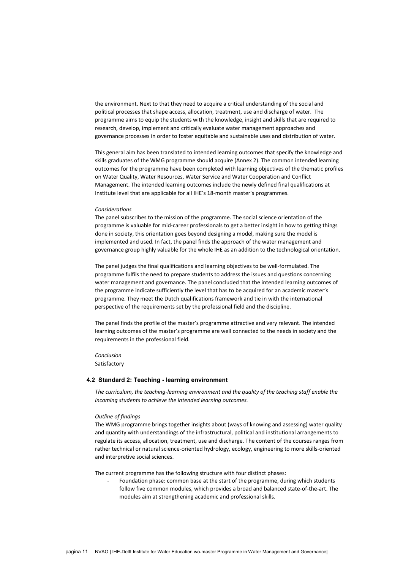the environment. Next to that they need to acquire a critical understanding of the social and political processes that shape access, allocation, treatment, use and discharge of water. The programme aims to equip the students with the knowledge, insight and skills that are required to research, develop, implement and critically evaluate water management approaches and governance processes in order to foster equitable and sustainable uses and distribution of water.

This general aim has been translated to intended learning outcomes that specify the knowledge and skills graduates of the WMG programme should acquire (Annex 2). The common intended learning outcomes for the programme have been completed with learning objectives of the thematic profiles on Water Quality, Water Resources, Water Service and Water Cooperation and Conflict Management. The intended learning outcomes include the newly defined final qualifications at Institute level that are applicable for all IHE's 18-month master's programmes.

#### *Considerations*

The panel subscribes to the mission of the programme. The social science orientation of the programme is valuable for mid-career professionals to get a better insight in how to getting things done in society, this orientation goes beyond designing a model, making sure the model is implemented and used. In fact, the panel finds the approach of the water management and governance group highly valuable for the whole IHE as an addition to the technological orientation.

The panel judges the final qualifications and learning objectives to be well-formulated. The programme fulfils the need to prepare students to address the issues and questions concerning water management and governance. The panel concluded that the intended learning outcomes of the programme indicate sufficiently the level that has to be acquired for an academic master's programme. They meet the Dutch qualifications framework and tie in with the international perspective of the requirements set by the professional field and the discipline.

The panel finds the profile of the master's programme attractive and very relevant. The intended learning outcomes of the master's programme are well connected to the needs in society and the requirements in the professional field.

*Conclusion* Satisfactory

### <span id="page-10-0"></span>**4.2 Standard 2: Teaching - learning environment**

*The curriculum, the teaching-learning environment and the quality of the teaching staff enable the incoming students to achieve the intended learning outcomes.*

### *Outline of findings*

The WMG programme brings together insights about (ways of knowing and assessing) water quality and quantity with understandings of the infrastructural, political and institutional arrangements to regulate its access, allocation, treatment, use and discharge. The content of the courses ranges from rather technical or natural science-oriented hydrology, ecology, engineering to more skills-oriented and interpretive social sciences.

The current programme has the following structure with four distinct phases:

Foundation phase: common base at the start of the programme, during which students follow five common modules, which provides a broad and balanced state-of-the-art. The modules aim at strengthening academic and professional skills.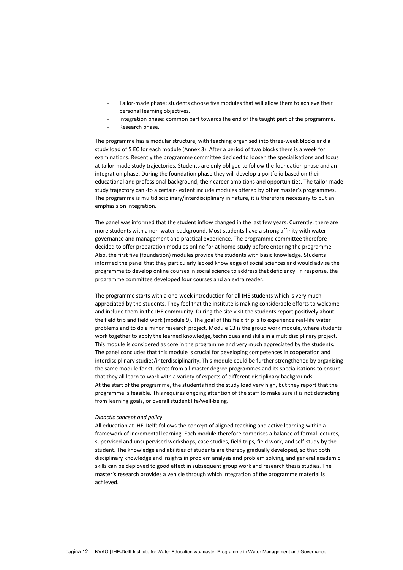- Tailor-made phase: students choose five modules that will allow them to achieve their personal learning objectives.
- Integration phase: common part towards the end of the taught part of the programme.
- Research phase.

The programme has a modular structure, with teaching organised into three-week blocks and a study load of 5 EC for each module (Annex 3). After a period of two blocks there is a week for examinations. Recently the programme committee decided to loosen the specialisations and focus at tailor-made study trajectories. Students are only obliged to follow the foundation phase and an integration phase. During the foundation phase they will develop a portfolio based on their educational and professional background, their career ambitions and opportunities. The tailor-made study trajectory can -to a certain- extent include modules offered by other master's programmes. The programme is multidisciplinary/interdisciplinary in nature, it is therefore necessary to put an emphasis on integration.

The panel was informed that the student inflow changed in the last few years. Currently, there are more students with a non-water background. Most students have a strong affinity with water governance and management and practical experience. The programme committee therefore decided to offer preparation modules online for at home-study before entering the programme. Also, the first five (foundation) modules provide the students with basic knowledge. Students informed the panel that they particularly lacked knowledge of social sciences and would advise the programme to develop online courses in social science to address that deficiency. In response, the programme committee developed four courses and an extra reader.

The programme starts with a one-week introduction for all IHE students which is very much appreciated by the students. They feel that the institute is making considerable efforts to welcome and include them in the IHE community. During the site visit the students report positively about the field trip and field work (module 9). The goal of this field trip is to experience real-life water problems and to do a minor research project. Module 13 is the group work module, where students work together to apply the learned knowledge, techniques and skills in a multidisciplinary project. This module is considered as core in the programme and very much appreciated by the students. The panel concludes that this module is crucial for developing competences in cooperation and interdisciplinary studies/interdisciplinarity. This module could be further strengthened by organising the same module for students from all master degree programmes and its specialisations to ensure that they all learn to work with a variety of experts of different disciplinary backgrounds. At the start of the programme, the students find the study load very high, but they report that the programme is feasible. This requires ongoing attention of the staff to make sure it is not detracting from learning goals, or overall student life/well-being.

### *Didactic concept and policy*

All education at IHE-Delft follows the concept of aligned teaching and active learning within a framework of incremental learning. Each module therefore comprises a balance of formal lectures, supervised and unsupervised workshops, case studies, field trips, field work, and self-study by the student. The knowledge and abilities of students are thereby gradually developed, so that both disciplinary knowledge and insights in problem analysis and problem solving, and general academic skills can be deployed to good effect in subsequent group work and research thesis studies. The master's research provides a vehicle through which integration of the programme material is achieved.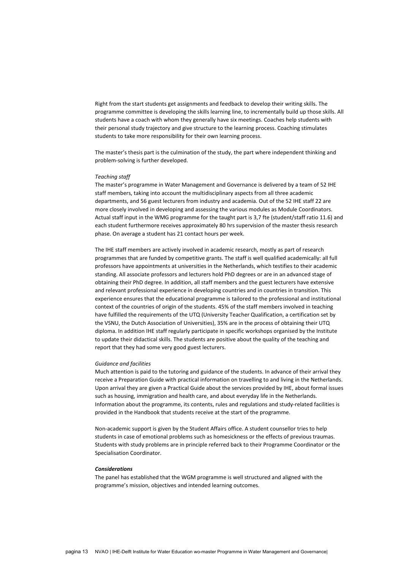Right from the start students get assignments and feedback to develop their writing skills. The programme committee is developing the skills learning line, to incrementally build up those skills. All students have a coach with whom they generally have six meetings. Coaches help students with their personal study trajectory and give structure to the learning process. Coaching stimulates students to take more responsibility for their own learning process.

The master's thesis part is the culmination of the study, the part where independent thinking and problem-solving is further developed.

### *Teaching staff*

The master's programme in Water Management and Governance is delivered by a team of 52 IHE staff members, taking into account the multidisciplinary aspects from all three academic departments, and 56 guest lecturers from industry and academia. Out of the 52 IHE staff 22 are more closely involved in developing and assessing the various modules as Module Coordinators. Actual staff input in the WMG programme for the taught part is 3,7 fte (student/staff ratio 11.6) and each student furthermore receives approximately 80 hrs supervision of the master thesis research phase. On average a student has 21 contact hours per week.

The IHE staff members are actively involved in academic research, mostly as part of research programmes that are funded by competitive grants. The staff is well qualified academically: all full professors have appointments at universities in the Netherlands, which testifies to their academic standing. All associate professors and lecturers hold PhD degrees or are in an advanced stage of obtaining their PhD degree. In addition, all staff members and the guest lecturers have extensive and relevant professional experience in developing countries and in countries in transition. This experience ensures that the educational programme is tailored to the professional and institutional context of the countries of origin of the students. 45% of the staff members involved in teaching have fulfilled the requirements of the UTQ (University Teacher Qualification, a certification set by the VSNU, the Dutch Association of Universities), 35% are in the process of obtaining their UTQ diploma. In addition IHE staff regularly participate in specific workshops organised by the Institute to update their didactical skills. The students are positive about the quality of the teaching and report that they had some very good guest lecturers.

### *Guidance and facilities*

Much attention is paid to the tutoring and guidance of the students. In advance of their arrival they receive a Preparation Guide with practical information on travelling to and living in the Netherlands. Upon arrival they are given a Practical Guide about the services provided by IHE, about formal issues such as housing, immigration and health care, and about everyday life in the Netherlands. Information about the programme, its contents, rules and regulations and study-related facilities is provided in the Handbook that students receive at the start of the programme.

Non-academic support is given by the Student Affairs office. A student counsellor tries to help students in case of emotional problems such as homesickness or the effects of previous traumas. Students with study problems are in principle referred back to their Programme Coordinator or the Specialisation Coordinator.

### *Considerations*

The panel has established that the WGM programme is well structured and aligned with the programme's mission, objectives and intended learning outcomes.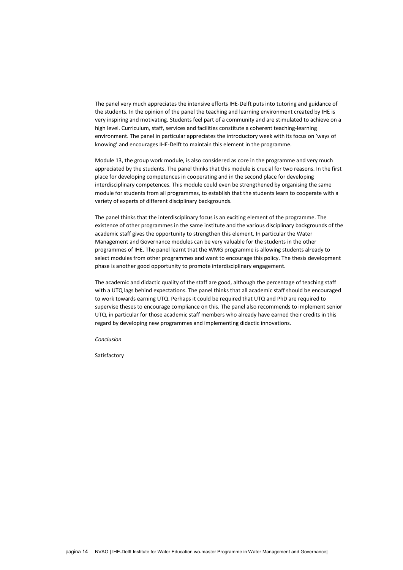The panel very much appreciates the intensive efforts IHE-Delft puts into tutoring and guidance of the students. In the opinion of the panel the teaching and learning environment created by IHE is very inspiring and motivating. Students feel part of a community and are stimulated to achieve on a high level. Curriculum, staff, services and facilities constitute a coherent teaching-learning environment. The panel in particular appreciates the introductory week with its focus on 'ways of knowing' and encourages IHE-Delft to maintain this element in the programme.

Module 13, the group work module, is also considered as core in the programme and very much appreciated by the students. The panel thinks that this module is crucial for two reasons. In the first place for developing competences in cooperating and in the second place for developing interdisciplinary competences. This module could even be strengthened by organising the same module for students from all programmes, to establish that the students learn to cooperate with a variety of experts of different disciplinary backgrounds.

The panel thinks that the interdisciplinary focus is an exciting element of the programme. The existence of other programmes in the same institute and the various disciplinary backgrounds of the academic staff gives the opportunity to strengthen this element. In particular the Water Management and Governance modules can be very valuable for the students in the other programmes of IHE. The panel learnt that the WMG programme is allowing students already to select modules from other programmes and want to encourage this policy. The thesis development phase is another good opportunity to promote interdisciplinary engagement.

The academic and didactic quality of the staff are good, although the percentage of teaching staff with a UTQ lags behind expectations. The panel thinks that all academic staff should be encouraged to work towards earning UTQ. Perhaps it could be required that UTQ and PhD are required to supervise theses to encourage compliance on this. The panel also recommends to implement senior UTQ, in particular for those academic staff members who already have earned their credits in this regard by developing new programmes and implementing didactic innovations.

*Conclusion*

Satisfactory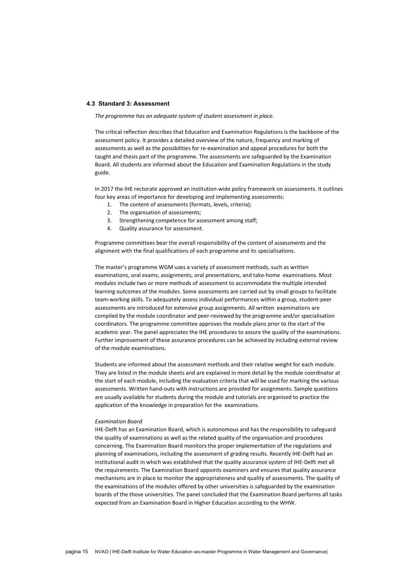### <span id="page-14-0"></span>**4.3 Standard 3: Assessment**

*The programme has an adequate system of student assessment in place.*

The critical reflection describes that Education and Examination Regulations is the backbone of the assessment policy. It provides a detailed overview of the nature, frequency and marking of assessments as well as the possibilities for re-examination and appeal procedures for both the taught and thesis part of the programme. The assessments are safeguarded by the Examination Board. All students are informed about the Education and Examination Regulations in the study guide.

In 2017 the IHE rectorate approved an institution-wide policy framework on assessments. It outlines four key areas of importance for developing and implementing assessments:

- 1. The content of assessments (formats, levels, criteria);
- 2. The organisation of assessments;
- 3. Strengthening competence for assessment among staff;
- 4. Quality assurance for assessment.

Programme committees bear the overall responsibility of the content of assessments and the alignment with the final qualifications of each programme and its specialisations.

The master's programme WGM uses a variety of assessment methods, such as written examinations, oral exams, assignments, oral presentations, and take-home examinations. Most modules include two or more methods of assessment to accommodate the multiple intended learning outcomes of the modules. Some assessments are carried out by small groups to facilitate team-working skills. To adequately assess individual performances within a group, student-peer assessments are introduced for extensive group assignments. All written examinations are compiled by the module coordinator and peer-reviewed by the programme and/or specialisation coordinators. The programme committee approves the module plans prior to the start of the academic year. The panel appreciates the IHE procedures to assure the quality of the examinations. Further improvement of these assurance procedures can be achieved by including external review of the module examinations.

Students are informed about the assessment methods and their relative weight for each module. They are listed in the module sheets and are explained in more detail by the module coordinator at the start of each module, including the evaluation criteria that will be used for marking the various assessments. Written hand-outs with instructions are provided for assignments. Sample questions are usually available for students during the module and tutorials are organised to practice the application of the knowledge in preparation for the examinations.

### *Examination Board*

IHE-Delft has an Examination Board, which is autonomous and has the responsibility to safeguard the quality of examinations as well as the related quality of the organisation and procedures concerning. The Examination Board monitors the proper implementation of the regulations and planning of examinations, including the assessment of grading results. Recently IHE-Delft had an institutional audit in which was established that the quality assurance system of IHE-Delft met all the requirements. The Examination Board appoints examiners and ensures that quality assurance mechanisms are in place to monitor the appropriateness and quality of assessments. The quality of the examinations of the modules offered by other universities is safeguarded by the examination boards of the those universities. The panel concluded that the Examination Board performs all tasks expected from an Examination Board in Higher Education according to the WHW.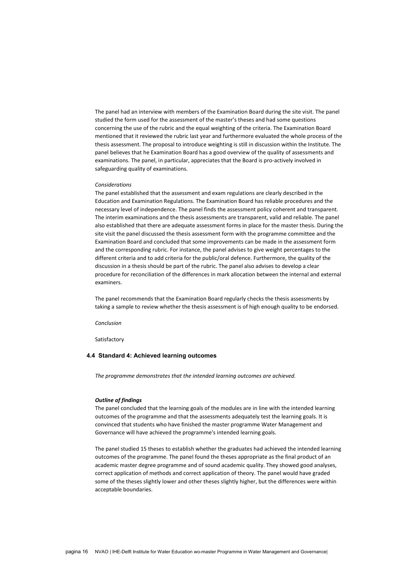The panel had an interview with members of the Examination Board during the site visit. The panel studied the form used for the assessment of the master's theses and had some questions concerning the use of the rubric and the equal weighting of the criteria. The Examination Board mentioned that it reviewed the rubric last year and furthermore evaluated the whole process of the thesis assessment. The proposal to introduce weighting is still in discussion within the Institute. The panel believes that he Examination Board has a good overview of the quality of assessments and examinations. The panel, in particular, appreciates that the Board is pro-actively involved in safeguarding quality of examinations.

#### *Considerations*

The panel established that the assessment and exam regulations are clearly described in the Education and Examination Regulations. The Examination Board has reliable procedures and the necessary level of independence. The panel finds the assessment policy coherent and transparent. The interim examinations and the thesis assessments are transparent, valid and reliable. The panel also established that there are adequate assessment forms in place for the master thesis. During the site visit the panel discussed the thesis assessment form with the programme committee and the Examination Board and concluded that some improvements can be made in the assessment form and the corresponding rubric. For instance, the panel advises to give weight percentages to the different criteria and to add criteria for the public/oral defence. Furthermore, the quality of the discussion in a thesis should be part of the rubric. The panel also advises to develop a clear procedure for reconciliation of the differences in mark allocation between the internal and external examiners.

The panel recommends that the Examination Board regularly checks the thesis assessments by taking a sample to review whether the thesis assessment is of high enough quality to be endorsed.

*Conclusion*

<span id="page-15-0"></span>Satisfactory

### **4.4 Standard 4: Achieved learning outcomes**

*The programme demonstrates that the intended learning outcomes are achieved.*

### *Outline of findings*

The panel concluded that the learning goals of the modules are in line with the intended learning outcomes of the programme and that the assessments adequately test the learning goals. It is convinced that students who have finished the master programme Water Management and Governance will have achieved the programme's intended learning goals.

The panel studied 15 theses to establish whether the graduates had achieved the intended learning outcomes of the programme. The panel found the theses appropriate as the final product of an academic master degree programme and of sound academic quality. They showed good analyses, correct application of methods and correct application of theory. The panel would have graded some of the theses slightly lower and other theses slightly higher, but the differences were within acceptable boundaries.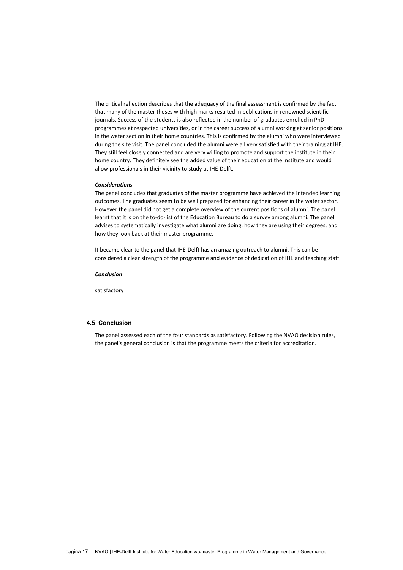The critical reflection describes that the adequacy of the final assessment is confirmed by the fact that many of the master theses with high marks resulted in publications in renowned scientific journals. Success of the students is also reflected in the number of graduates enrolled in PhD programmes at respected universities, or in the career success of alumni working at senior positions in the water section in their home countries. This is confirmed by the alumni who were interviewed during the site visit. The panel concluded the alumni were all very satisfied with their training at IHE. They still feel closely connected and are very willing to promote and support the institute in their home country. They definitely see the added value of their education at the institute and would allow professionals in their vicinity to study at IHE-Delft.

### *Considerations*

The panel concludes that graduates of the master programme have achieved the intended learning outcomes. The graduates seem to be well prepared for enhancing their career in the water sector. However the panel did not get a complete overview of the current positions of alumni. The panel learnt that it is on the to-do-list of the Education Bureau to do a survey among alumni. The panel advises to systematically investigate what alumni are doing, how they are using their degrees, and how they look back at their master programme.

It became clear to the panel that IHE-Delft has an amazing outreach to alumni. This can be considered a clear strength of the programme and evidence of dedication of IHE and teaching staff.

<span id="page-16-0"></span>*Conclusion*

satisfactory

## <span id="page-16-1"></span>**4.5 Conclusion**

The panel assessed each of the four standards as satisfactory. Following the NVAO decision rules, the panel's general conclusion is that the programme meets the criteria for accreditation.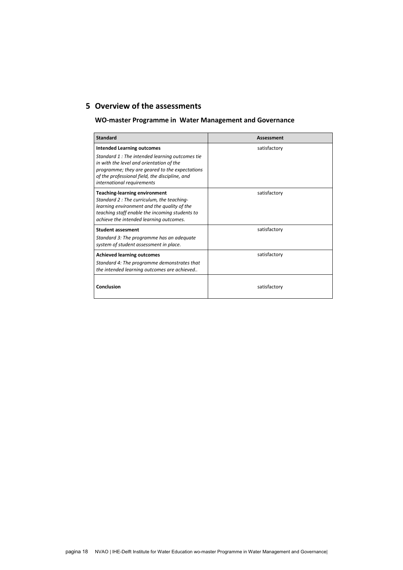# <span id="page-17-0"></span>**5 Overview of the assessments**

# **WO-master Programme in Water Management and Governance**

| <b>Standard</b>                                                                                                                                                                                                                                                   | <b>Assessment</b> |
|-------------------------------------------------------------------------------------------------------------------------------------------------------------------------------------------------------------------------------------------------------------------|-------------------|
| <b>Intended Learning outcomes</b><br>Standard 1: The intended learning outcomes tie<br>in with the level and orientation of the<br>programme; they are geared to the expectations<br>of the professional field, the discipline, and<br>international requirements | satisfactory      |
| <b>Teaching-learning environment</b><br>Standard 2: The curriculum, the teaching-<br>learning environment and the quality of the<br>teaching staff enable the incoming students to<br>achieve the intended learning outcomes.                                     | satisfactory      |
| <b>Student assesment</b><br>Standard 3: The programme has an adequate<br>system of student assessment in place.                                                                                                                                                   | satisfactory      |
| <b>Achieved learning outcomes</b><br>Standard 4: The programme demonstrates that<br>the intended learning outcomes are achieved                                                                                                                                   | satisfactory      |
| Conclusion                                                                                                                                                                                                                                                        | satisfactory      |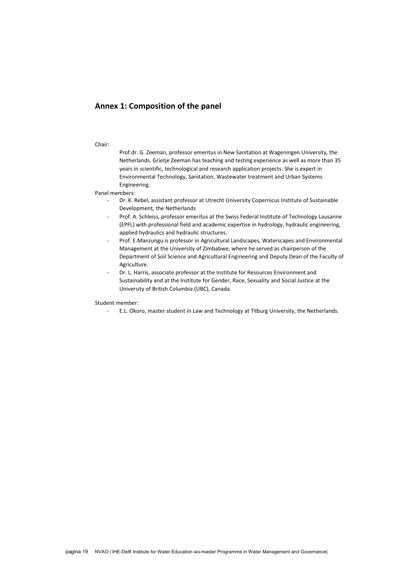## <span id="page-18-0"></span>**Annex 1: Composition of the panel**

### Chair:

Prof.dr. G. Zeeman, professor emeritus in New Sanitation at Wageningen University, the Netherlands. Grietje Zeeman has teaching and testing experience as well as more than 35 years in scientific, technological and research application projects. She is expert in Environmental Technology, Sanitation, Wastewater treatment and Urban Systems Engineering.

Panel members:

- Dr. K. Rebel, assistant professor at Utrecht University Copernicus Institute of Sustainable Development, the Netherlands
- Prof. A. Schleiss, professor emeritus at the Swiss Federal Institute of Technology Lausanne (EPFL) with professional field and academic expertise in hydrology, hydraulic engineering, applied hydraulics and hydraulic structures.
- Prof. E.Manzungu is professor in Agricultural Landscapes, Waterscapes and Environmental Management at the University of Zimbabwe, where he served as chairperson of the Department of Soil Science and Agricultural Engineering and Deputy Dean of the Faculty of Agriculture.
- Dr. L. Harris, associate professor at the Institute for Resources Environment and Sustainability and at the Institute for Gender, Race, Sexuality and Social Justice at the University of British Columbia (UBC), Canada.

Student member:

- E.L. Okoro, master student in Law and Technology at Tilburg University, the Netherlands.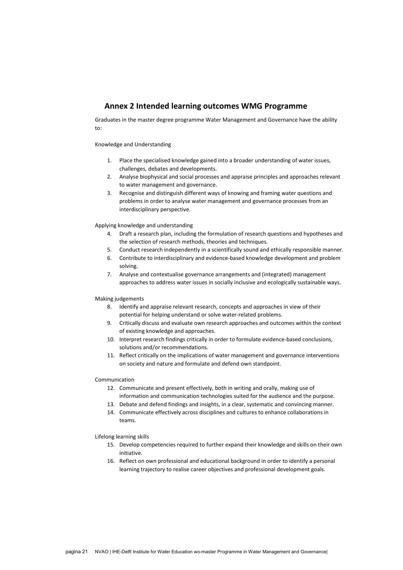## <span id="page-20-0"></span>**Annex 2 Intended learning outcomes WMG Programme**

Graduates in the master degree programme Water Management and Governance have the ability to:

### Knowledge and Understanding

- 1. Place the specialised knowledge gained into a broader understanding of water issues, challenges, debates and developments.
- 2. Analyse biophysical and social processes and appraise principles and approaches relevant to water management and governance.
- 3. Recognise and distinguish different ways of knowing and framing water questions and problems in order to analyse water management and governance processes from an interdisciplinary perspective.

Applying knowledge and understanding

- 4. Draft a research plan, including the formulation of research questions and hypotheses and the selection of research methods, theories and techniques.
- 5. Conduct research independently in a scientifically sound and ethically responsible manner.
- 6. Contribute to interdisciplinary and evidence-based knowledge development and problem solving.
- 7. Analyse and contextualise governance arrangements and (integrated) management approaches to address water issues in socially inclusive and ecologically sustainable ways.

### Making judgements

- 8. Identify and appraise relevant research, concepts and approaches in view of their potential for helping understand or solve water-related problems.
- 9. Critically discuss and evaluate own research approaches and outcomes within the context of existing knowledge and approaches.
- 10. Interpret research findings critically in order to formulate evidence-based conclusions, solutions and/or recommendations.
- 11. Reflect critically on the implications of water management and governance interventions on society and nature and formulate and defend own standpoint.

### Communication

- 12. Communicate and present effectively, both in writing and orally, making use of information and communication technologies suited for the audience and the purpose.
- 13. Debate and defend findings and insights, in a clear, systematic and convincing manner.
- 14. Communicate effectively across disciplines and cultures to enhance collaborations in teams.

### Lifelong learning skills

- 15. Develop competencies required to further expand their knowledge and skills on their own initiative.
- 16. Reflect on own professional and educational background in order to identify a personal learning trajectory to realise career objectives and professional development goals.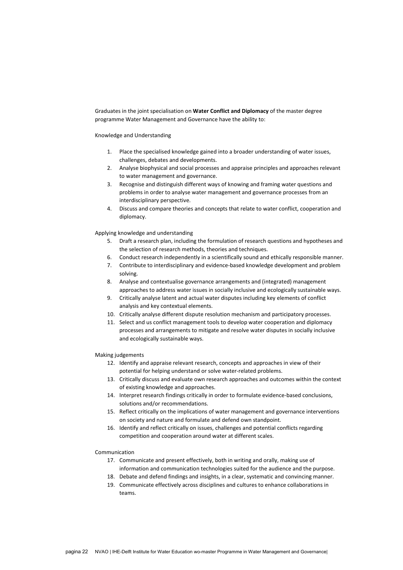Graduates in the joint specialisation on **Water Conflict and Diplomacy** of the master degree programme Water Management and Governance have the ability to:

Knowledge and Understanding

- 1. Place the specialised knowledge gained into a broader understanding of water issues, challenges, debates and developments.
- 2. Analyse biophysical and social processes and appraise principles and approaches relevant to water management and governance.
- 3. Recognise and distinguish different ways of knowing and framing water questions and problems in order to analyse water management and governance processes from an interdisciplinary perspective.
- 4. Discuss and compare theories and concepts that relate to water conflict, cooperation and diplomacy.

Applying knowledge and understanding

- 5. Draft a research plan, including the formulation of research questions and hypotheses and the selection of research methods, theories and techniques.
- 6. Conduct research independently in a scientifically sound and ethically responsible manner.
- 7. Contribute to interdisciplinary and evidence-based knowledge development and problem solving.
- 8. Analyse and contextualise governance arrangements and (integrated) management approaches to address water issues in socially inclusive and ecologically sustainable ways.
- 9. Critically analyse latent and actual water disputes including key elements of conflict analysis and key contextual elements.
- 10. Critically analyse different dispute resolution mechanism and participatory processes.
- 11. Select and us conflict management tools to develop water cooperation and diplomacy processes and arrangements to mitigate and resolve water disputes in socially inclusive and ecologically sustainable ways.

Making judgements

- 12. Identify and appraise relevant research, concepts and approaches in view of their potential for helping understand or solve water-related problems.
- 13. Critically discuss and evaluate own research approaches and outcomes within the context of existing knowledge and approaches.
- 14. Interpret research findings critically in order to formulate evidence-based conclusions, solutions and/or recommendations.
- 15. Reflect critically on the implications of water management and governance interventions on society and nature and formulate and defend own standpoint.
- 16. Identify and reflect critically on issues, challenges and potential conflicts regarding competition and cooperation around water at different scales.

Communication

- 17. Communicate and present effectively, both in writing and orally, making use of information and communication technologies suited for the audience and the purpose.
- 18. Debate and defend findings and insights, in a clear, systematic and convincing manner.
- 19. Communicate effectively across disciplines and cultures to enhance collaborations in teams.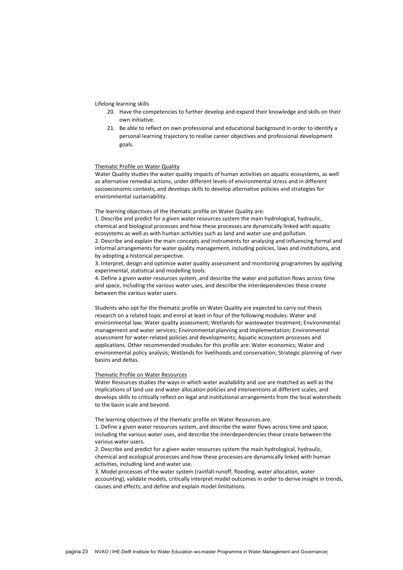### Lifelong learning skills

- 20. Have the competencies to further develop and expand their knowledge and skills on their own initiative.
- 21. Be able to reflect on own professional and educational background in order to identify a personal learning trajectory to realise career objectives and professional development goals.

### Thematic Profile on Water Quality

Water Quality studies the water quality impacts of human activities on aquatic ecosystems, as well as alternative remedial actions, under different levels of environmental stress and in different socioeconomic contexts, and develops skills to develop alternative policies and strategies for environmental sustainability.

### The learning objectives of the thematic profile on Water Quality are:

1. Describe and predict for a given water resources system the main hydrological, hydraulic, chemical and biological processes and how these processes are dynamically linked with aquatic ecosystems as well as with human activities such as land and water use and pollution. 2. Describe and explain the main concepts and instruments for analysing and influencing formal and informal arrangements for water quality management, including policies, laws and institutions, and by adopting a historical perspective.

3. Interpret, design and optimize water quality assessment and monitoring programmes by applying experimental, statistical and modelling tools.

4. Define a given water resources system, and describe the water and pollution flows across time and space, including the various water uses, and describe the interdependencies these create between the various water users.

Students who opt for the thematic profile on Water Quality are expected to carry out thesis research on a related topic and enrol at least in four of the following modules: Water and environmental law; Water quality assessment; Wetlands for wastewater treatment; Environmental management and water services; Environmental planning and implementation; Environmental assessment for water-related policies and developments; Aquatic ecosystem processes and applications. Other recommended modules for this profile are: Water economics; Water and environmental policy analysis; Wetlands for livelihoods and conservation; Strategic planning of river basins and deltas.

#### Thematic Profile on Water Resources

Water Resources studies the ways in which water availability and use are matched as well as the implications of land use and water allocation policies and interventions at different scales, and develops skills to critically reflect on legal and institutional arrangements from the local watersheds to the basin scale and beyond.

The learning objectives of the thematic profile on Water Resources are:

1. Define a given water resources system, and describe the water flows across time and space, including the various water uses, and describe the interdependencies these create between the various water users.

2. Describe and predict for a given water resources system the main hydrological, hydraulic, chemical and ecological processes and how these processes are dynamically linked with human activities, including land and water use.

3. Model processes of the water system (rainfall-runoff, flooding, water allocation, water accounting), validate models, critically interpret model outcomes in order to derive insight in trends, causes and effects, and define and explain model limitations.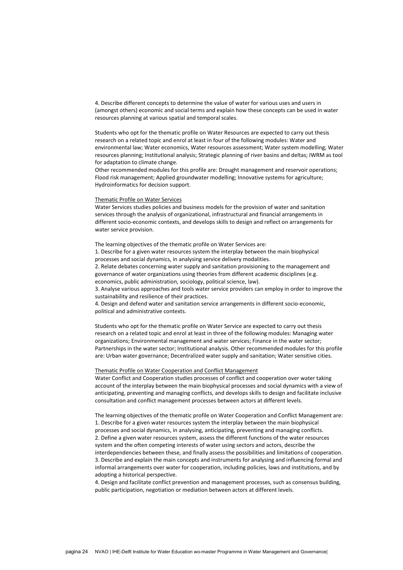4. Describe different concepts to determine the value of water for various uses and users in (amongst others) economic and social terms and explain how these concepts can be used in water resources planning at various spatial and temporal scales.

Students who opt for the thematic profile on Water Resources are expected to carry out thesis research on a related topic and enrol at least in four of the following modules: Water and environmental law; Water economics, Water resources assessment; Water system modelling; Water resources planning; Institutional analysis; Strategic planning of river basins and deltas; IWRM as tool for adaptation to climate change.

Other recommended modules for this profile are: Drought management and reservoir operations; Flood risk management; Applied groundwater modelling; Innovative systems for agriculture; Hydroinformatics for decision support.

### Thematic Profile on Water Services

Water Services studies policies and business models for the provision of water and sanitation services through the analysis of organizational, infrastructural and financial arrangements in different socio-economic contexts, and develops skills to design and reflect on arrangements for water service provision.

The learning objectives of the thematic profile on Water Services are:

1. Describe for a given water resources system the interplay between the main biophysical processes and social dynamics, in analysing service delivery modalities.

2. Relate debates concerning water supply and sanitation provisioning to the management and governance of water organizations using theories from different academic disciplines (e.g. economics, public administration, sociology, political science, law).

3. Analyse various approaches and tools water service providers can employ in order to improve the sustainability and resilience of their practices.

4. Design and defend water and sanitation service arrangements in different socio-economic, political and administrative contexts.

Students who opt for the thematic profile on Water Service are expected to carry out thesis research on a related topic and enrol at least in three of the following modules: Managing water organizations; Environmental management and water services; Finance in the water sector; Partnerships in the water sector; Institutional analysis. Other recommended modules for this profile are: Urban water governance; Decentralized water supply and sanitation; Water sensitive cities.

### Thematic Profile on Water Cooperation and Conflict Management

Water Conflict and Cooperation studies processes of conflict and cooperation over water taking account of the interplay between the main biophysical processes and social dynamics with a view of anticipating, preventing and managing conflicts, and develops skills to design and facilitate inclusive consultation and conflict management processes between actors at different levels.

The learning objectives of the thematic profile on Water Cooperation and Conflict Management are: 1. Describe for a given water resources system the interplay between the main biophysical processes and social dynamics, in analysing, anticipating, preventing and managing conflicts. 2. Define a given water resources system, assess the different functions of the water resources system and the often competing interests of water using sectors and actors, describe the interdependencies between these, and finally assess the possibilities and limitations of cooperation. 3. Describe and explain the main concepts and instruments for analysing and influencing formal and informal arrangements over water for cooperation, including policies, laws and institutions, and by adopting a historical perspective.

4. Design and facilitate conflict prevention and management processes, such as consensus building, public participation, negotiation or mediation between actors at different levels.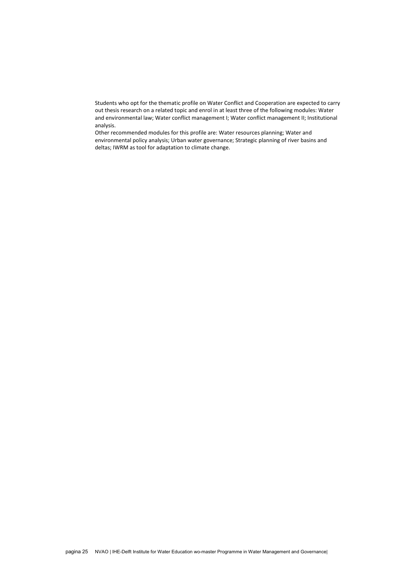Students who opt for the thematic profile on Water Conflict and Cooperation are expected to carry out thesis research on a related topic and enrol in at least three of the following modules: Water and environmental law; Water conflict management I; Water conflict management II; Institutional analysis.

Other recommended modules for this profile are: Water resources planning; Water and environmental policy analysis; Urban water governance; Strategic planning of river basins and deltas; IWRM as tool for adaptation to climate change.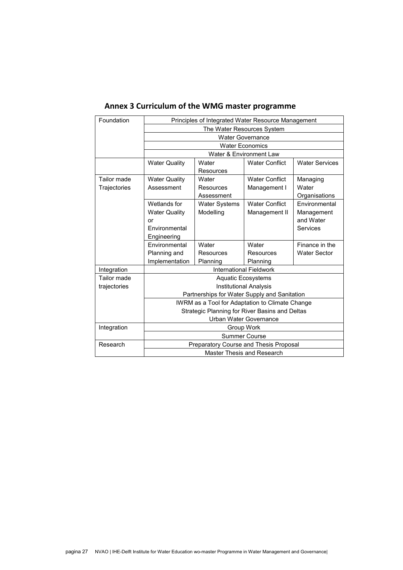| Foundation   |                                                       |                      |                                                 |                       |  |
|--------------|-------------------------------------------------------|----------------------|-------------------------------------------------|-----------------------|--|
|              | Principles of Integrated Water Resource Management    |                      |                                                 |                       |  |
|              | The Water Resources System<br><b>Water Governance</b> |                      |                                                 |                       |  |
|              |                                                       |                      |                                                 |                       |  |
|              |                                                       |                      | <b>Water Economics</b>                          |                       |  |
|              | Water & Environment Law                               |                      |                                                 |                       |  |
|              | <b>Water Quality</b>                                  | Water                | <b>Water Conflict</b>                           | <b>Water Services</b> |  |
|              |                                                       | Resources            |                                                 |                       |  |
| Tailor made  | <b>Water Quality</b>                                  | Water                | <b>Water Conflict</b>                           | Managing              |  |
| Trajectories | Assessment                                            | Resources            | Management I                                    | Water                 |  |
|              |                                                       | Assessment           |                                                 | Organisations         |  |
|              | Wetlands for                                          | <b>Water Systems</b> | <b>Water Conflict</b>                           | Environmental         |  |
|              | <b>Water Quality</b>                                  | Modelling            | Management II                                   | Management            |  |
|              | or                                                    |                      |                                                 | and Water             |  |
|              | Environmental                                         |                      |                                                 | Services              |  |
|              | Engineering                                           |                      |                                                 |                       |  |
|              | Environmental                                         | Water                | Water                                           | Finance in the        |  |
|              | Planning and                                          | Resources            | Resources                                       | <b>Water Sector</b>   |  |
|              | Implementation                                        | Planning             | Planning                                        |                       |  |
| Integration  |                                                       |                      | <b>International Fieldwork</b>                  |                       |  |
| Tailor made  | <b>Aquatic Ecosystems</b>                             |                      |                                                 |                       |  |
| trajectories | <b>Institutional Analysis</b>                         |                      |                                                 |                       |  |
|              | Partnerships for Water Supply and Sanitation          |                      |                                                 |                       |  |
|              |                                                       |                      | IWRM as a Tool for Adaptation to Climate Change |                       |  |
|              | Strategic Planning for River Basins and Deltas        |                      |                                                 |                       |  |
|              | Urban Water Governance                                |                      |                                                 |                       |  |
| Integration  | Group Work                                            |                      |                                                 |                       |  |
|              | <b>Summer Course</b>                                  |                      |                                                 |                       |  |
| Research     | Preparatory Course and Thesis Proposal                |                      |                                                 |                       |  |
|              | Master Thesis and Research                            |                      |                                                 |                       |  |

# <span id="page-26-0"></span>**Annex 3 Curriculum of the WMG master programme**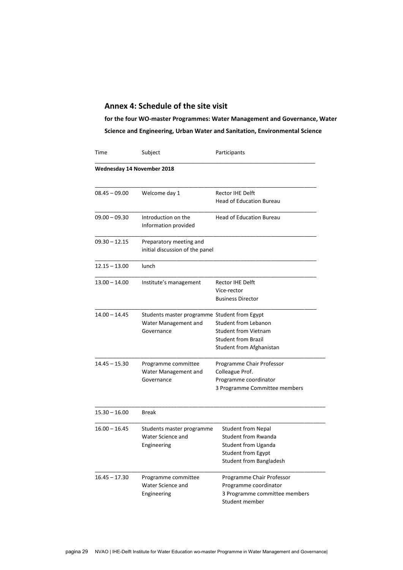## <span id="page-28-0"></span>**Annex 4: Schedule of the site visit**

**for the four WO-master Programmes: Water Management and Governance, Water Science and Engineering, Urban Water and Sanitation, Environmental Science**

| Time                       | Subject                                                                            | Participants                                                                                                             |  |
|----------------------------|------------------------------------------------------------------------------------|--------------------------------------------------------------------------------------------------------------------------|--|
| Wednesday 14 November 2018 |                                                                                    |                                                                                                                          |  |
| $08.45 - 09.00$            | Welcome day 1                                                                      | Rector IHE Delft<br><b>Head of Education Bureau</b>                                                                      |  |
| $09.00 - 09.30$            | Introduction on the<br>Information provided                                        | <b>Head of Education Bureau</b>                                                                                          |  |
| $09.30 - 12.15$            | Preparatory meeting and<br>initial discussion of the panel                         |                                                                                                                          |  |
| $12.15 - 13.00$            | lunch                                                                              |                                                                                                                          |  |
| $13.00 - 14.00$            | Institute's management                                                             | Rector IHE Delft<br>Vice-rector<br><b>Business Director</b>                                                              |  |
| 14.00 - 14.45              | Students master programme Student from Egypt<br>Water Management and<br>Governance | <b>Student from Lebanon</b><br><b>Student from Vietnam</b><br><b>Student from Brazil</b><br>Student from Afghanistan     |  |
| 14.45 - 15.30              | Programme committee<br>Water Management and<br>Governance                          | Programme Chair Professor<br>Colleague Prof.<br>Programme coordinator<br>3 Programme Committee members                   |  |
| $15.30 - 16.00$            | <b>Break</b>                                                                       |                                                                                                                          |  |
| $16.00 - 16.45$            | Students master programme<br>Water Science and<br>Engineering                      | <b>Student from Nepal</b><br>Student from Rwanda<br>Student from Uganda<br>Student from Egypt<br>Student from Bangladesh |  |
| 16.45 – 17.30              | Programme committee<br>Water Science and<br>Engineering                            | Programme Chair Professor<br>Programme coordinator<br>3 Programme committee members<br>Student member                    |  |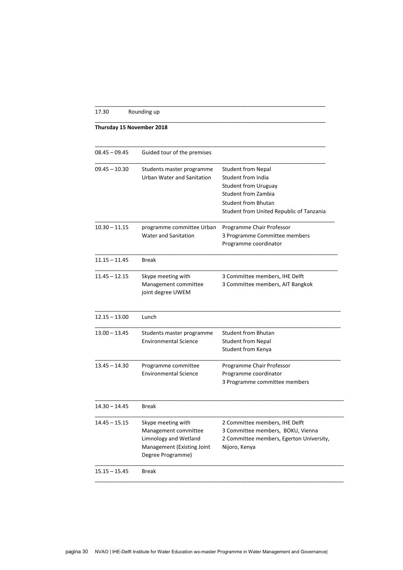## 17.30 Rounding up

## **Thursday 15 November 2018**

| $08.45 - 09.45$ | Guided tour of the premises  |                                          |
|-----------------|------------------------------|------------------------------------------|
|                 |                              |                                          |
| $09.45 - 10.30$ | Students master programme    | <b>Student from Nepal</b>                |
|                 | Urban Water and Sanitation   | Student from India                       |
|                 |                              | <b>Student from Uruguay</b>              |
|                 |                              | <b>Student from Zambia</b>               |
|                 |                              | <b>Student from Bhutan</b>               |
|                 |                              | Student from United Republic of Tanzania |
| $10.30 - 11.15$ | programme committee Urban    | Programme Chair Professor                |
|                 | <b>Water and Sanitation</b>  | 3 Programme Committee members            |
|                 |                              | Programme coordinator                    |
| $11.15 - 11.45$ | <b>Break</b>                 |                                          |
| $11.45 - 12.15$ | Skype meeting with           | 3 Committee members, IHE Delft           |
|                 | Management committee         | 3 Committee members, AIT Bangkok         |
|                 | joint degree UWEM            |                                          |
| $12.15 - 13.00$ | Lunch                        |                                          |
| $13.00 - 13.45$ | Students master programme    | <b>Student from Bhutan</b>               |
|                 | <b>Environmental Science</b> | <b>Student from Nepal</b>                |
|                 |                              | Student from Kenya                       |
| $13.45 - 14.30$ | Programme committee          | Programme Chair Professor                |
|                 | <b>Environmental Science</b> | Programme coordinator                    |
|                 |                              | 3 Programme committee members            |
| $14.30 - 14.45$ | <b>Break</b>                 |                                          |
| $14.45 - 15.15$ | Skype meeting with           | 2 Committee members, IHE Delft           |
|                 | Management committee         | 3 Committee members, BOKU, Vienna        |
|                 | Limnology and Wetland        | 2 Committee members, Egerton University, |
|                 | Management (Existing Joint   | Nijoro, Kenya                            |
|                 | Degree Programme)            |                                          |
|                 |                              |                                          |

\_\_\_\_\_\_\_\_\_\_\_\_\_\_\_\_\_\_\_\_\_\_\_\_\_\_\_\_\_\_\_\_\_\_\_\_\_\_\_\_\_\_\_\_\_\_\_\_\_\_\_\_\_\_\_\_\_\_\_\_\_\_\_\_\_\_\_\_\_\_\_\_\_\_\_\_

\_\_\_\_\_\_\_\_\_\_\_\_\_\_\_\_\_\_\_\_\_\_\_\_\_\_\_\_\_\_\_\_\_\_\_\_\_\_\_\_\_\_\_\_\_\_\_\_\_\_\_\_\_\_\_\_\_\_\_\_\_\_\_\_\_\_\_\_\_\_\_\_\_\_\_\_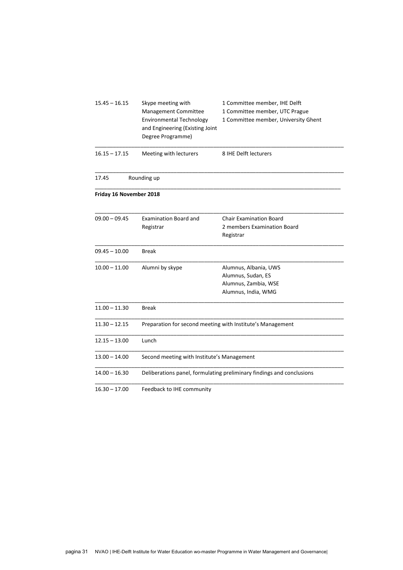| $15.45 - 16.15$         | Skype meeting with<br><b>Management Committee</b><br><b>Environmental Technology</b><br>and Engineering (Existing Joint<br>Degree Programme) | 1 Committee member, IHE Delft<br>1 Committee member, UTC Prague<br>1 Committee member, University Ghent |  |  |
|-------------------------|----------------------------------------------------------------------------------------------------------------------------------------------|---------------------------------------------------------------------------------------------------------|--|--|
| $16.15 - 17.15$         | Meeting with lecturers                                                                                                                       | 8 IHE Delft lecturers                                                                                   |  |  |
| 17.45                   | Rounding up                                                                                                                                  |                                                                                                         |  |  |
| Friday 16 November 2018 |                                                                                                                                              |                                                                                                         |  |  |
| $09.00 - 09.45$         | <b>Examination Board and</b><br>Registrar                                                                                                    | <b>Chair Examination Board</b><br>2 members Examination Board<br>Registrar                              |  |  |
| $09.45 - 10.00$         | <b>Break</b>                                                                                                                                 |                                                                                                         |  |  |
| $10.00 - 11.00$         | Alumni by skype                                                                                                                              | Alumnus, Albania, UWS<br>Alumnus, Sudan, ES<br>Alumnus, Zambia, WSE<br>Alumnus, India, WMG              |  |  |
| $11.00 - 11.30$         | <b>Break</b>                                                                                                                                 |                                                                                                         |  |  |
| $11.30 - 12.15$         | Preparation for second meeting with Institute's Management                                                                                   |                                                                                                         |  |  |
| $12.15 - 13.00$         | Lunch                                                                                                                                        |                                                                                                         |  |  |
| $13.00 - 14.00$         | Second meeting with Institute's Management                                                                                                   |                                                                                                         |  |  |
| $14.00 - 16.30$         |                                                                                                                                              | Deliberations panel, formulating preliminary findings and conclusions                                   |  |  |
| $16.30 - 17.00$         | Feedback to IHE community                                                                                                                    |                                                                                                         |  |  |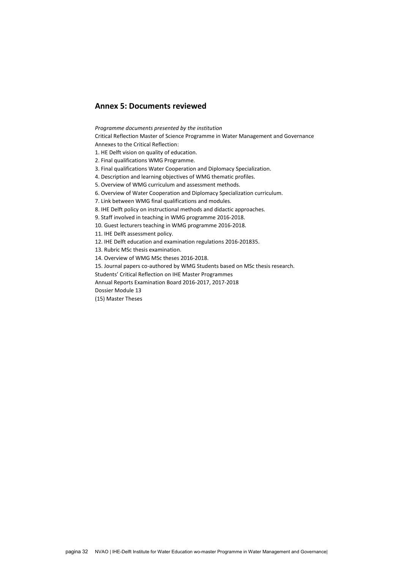## <span id="page-31-0"></span>**Annex 5: Documents reviewed**

*Programme documents presented by the institution*

Critical Reflection Master of Science Programme in Water Management and Governance Annexes to the Critical Reflection:

- 1. HE Delft vision on quality of education.
- 2. Final qualifications WMG Programme.
- 3. Final qualifications Water Cooperation and Diplomacy Specialization.
- 4. Description and learning objectives of WMG thematic profiles.
- 5. Overview of WMG curriculum and assessment methods.
- 6. Overview of Water Cooperation and Diplomacy Specialization curriculum.

7. Link between WMG final qualifications and modules.

8. IHE Delft policy on instructional methods and didactic approaches.

9. Staff involved in teaching in WMG programme 2016-2018.

10. Guest lecturers teaching in WMG programme 2016-2018.

11. IHE Delft assessment policy.

12. IHE Delft education and examination regulations 2016-201835.

13. Rubric MSc thesis examination.

14. Overview of WMG MSc theses 2016-2018.

15. Journal papers co-authored by WMG Students based on MSc thesis research.

Students' Critical Reflection on IHE Master Programmes

Annual Reports Examination Board 2016-2017, 2017-2018

Dossier Module 13

(15) Master Theses